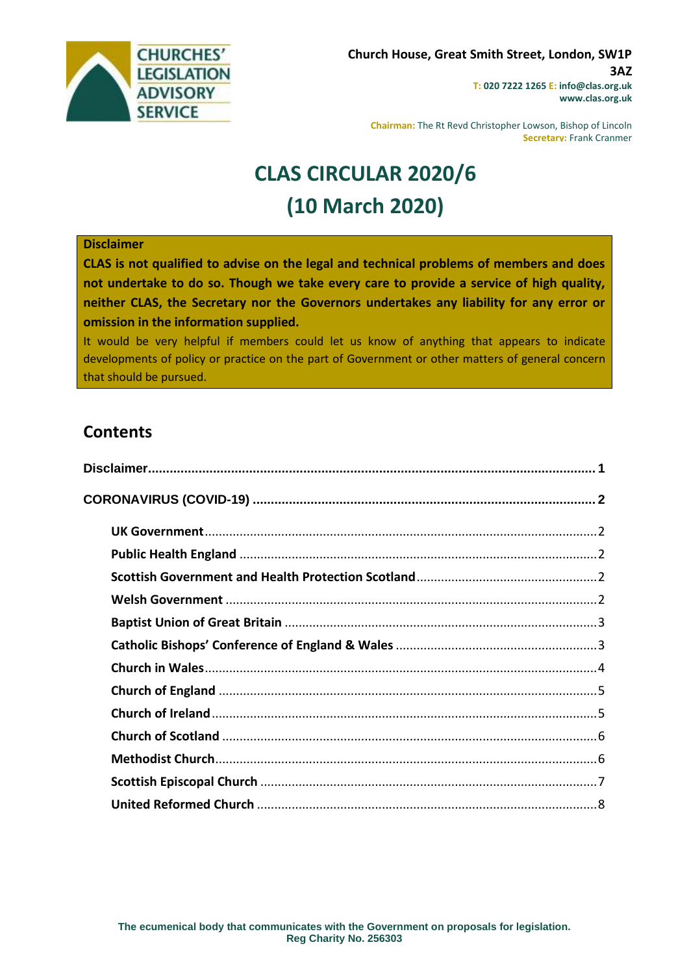

**Chairman:** The Rt Revd Christopher Lowson, Bishop of Lincoln **Secretary:** Frank Cranmer

# **CLAS CIRCULAR 2020/6 (10 March 2020)**

#### <span id="page-0-0"></span>**Disclaimer**

**CLAS is not qualified to advise on the legal and technical problems of members and does not undertake to do so. Though we take every care to provide a service of high quality, neither CLAS, the Secretary nor the Governors undertakes any liability for any error or omission in the information supplied.**

It would be very helpful if members could let us know of anything that appears to indicate developments of policy or practice on the part of Government or other matters of general concern that should be pursued.

# **Contents**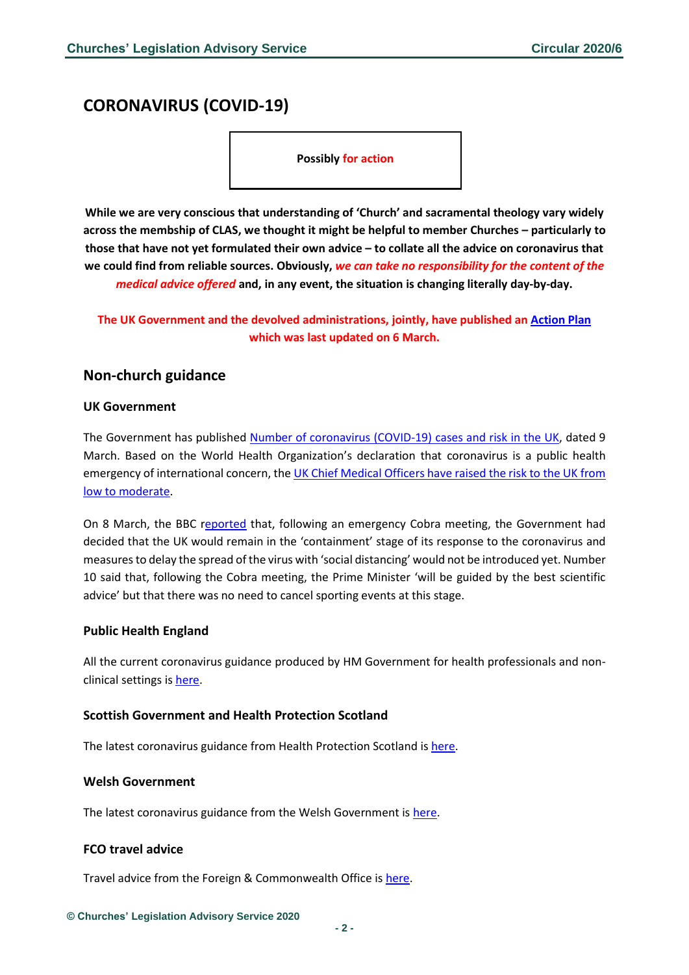# <span id="page-1-0"></span>**CORONAVIRUS (COVID-19)**

**Possibly for action**

**While we are very conscious that understanding of 'Church' and sacramental theology vary widely across the membship of CLAS, we thought it might be helpful to member Churches – particularly to those that have not yet formulated their own advice – to collate all the advice on coronavirus that we could find from reliable sources. Obviously,** *we can take no responsibility for the content of the medical advice offered* **and, in any event, the situation is changing literally day-by-day.** 

**The UK Government and the devolved administrations, jointly, have published an [Action Plan](https://gov.wales/sites/default/files/publications/2020-03/coronavirus-action-plan.pdf) which was last updated on 6 March.**

# **Non-church guidance**

#### <span id="page-1-1"></span>**UK Government**

The Government has published [Number of coronavirus \(COVID-19\) cases and risk in the UK,](https://www.gov.uk/guidance/coronavirus-covid-19-information-for-the-public) dated 9 March. Based on the World Health Organization's declaration that coronavirus is a public health emergency of international concern, the [UK Chief Medical Officers have raised the risk to the UK from](https://www.gov.uk/government/news/statement-from-the-four-uk-chief-medical-officers-on-novel-coronavirus)  [low to moderate.](https://www.gov.uk/government/news/statement-from-the-four-uk-chief-medical-officers-on-novel-coronavirus)

On 8 March, the BBC [reported](https://www.bbc.co.uk/news/uk-51796072) that, following an emergency Cobra meeting, the Government had decided that the UK would remain in the 'containment' stage of its response to the coronavirus and measures to delay the spread of the virus with 'social distancing' would not be introduced yet. Number 10 said that, following the Cobra meeting, the Prime Minister 'will be guided by the best scientific advice' but that there was no need to cancel sporting events at this stage.

#### <span id="page-1-2"></span>**Public Health England**

All the current coronavirus guidance produced by HM Government for health professionals and nonclinical settings i[s here.](https://www.gov.uk/government/collections/coronavirus-covid-19-list-of-guidance)

#### <span id="page-1-3"></span>**Scottish Government and Health Protection Scotland**

The latest coronavirus guidance from Health Protection Scotland i[s here.](https://www.hps.scot.nhs.uk/a-to-z-of-topics/wuhan-novel-coronavirus/)

#### <span id="page-1-4"></span>**Welsh Government**

The latest coronavirus guidance from the Welsh Government is [here.](https://gov.wales/coronavirus)

#### **FCO travel advice**

Travel advice from the Foreign & Commonwealth Office is [here.](https://www.gov.uk/guidance/travel-advice-novel-coronavirus)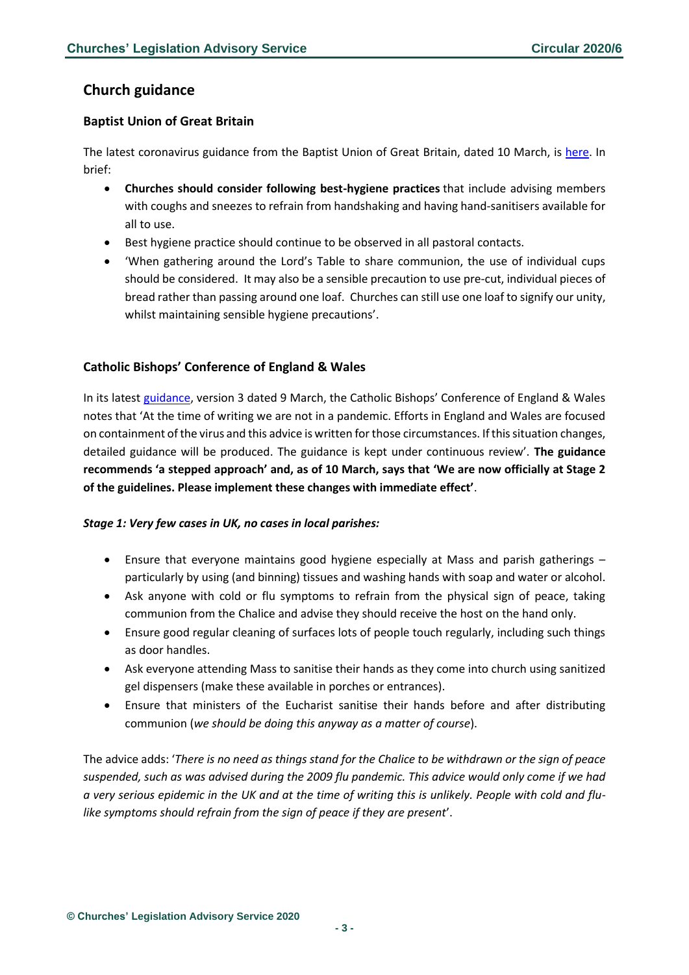# **Church guidance**

# <span id="page-2-0"></span>**Baptist Union of Great Britain**

The latest coronavirus guidance from the Baptist Union of Great Britain, dated 10 March, is [here.](https://www.baptist.org.uk/Articles/567265/Coronavirus_advice_for.aspx) In brief:

- **Churches should consider following best-hygiene practices** that include advising members with coughs and sneezes to refrain from handshaking and having hand-sanitisers available for all to use.
- Best hygiene practice should continue to be observed in all pastoral contacts.
- 'When gathering around the Lord's Table to share communion, the use of individual cups should be considered. It may also be a sensible precaution to use pre-cut, individual pieces of bread rather than passing around one loaf. Churches can still use one loaf to signify our unity, whilst maintaining sensible hygiene precautions'.

# <span id="page-2-1"></span>**Catholic Bishops' Conference of England & Wales**

In its latest [guidance](https://www.cbcew.org.uk/wp-content/uploads/sites/3/2020/03/COVID19-Guidelines-3-090320-1648.pdf), version 3 dated 9 March, the Catholic Bishops' Conference of England & Wales notes that 'At the time of writing we are not in a pandemic. Efforts in England and Wales are focused on containment of the virus and this advice is written for those circumstances. If this situation changes, detailed guidance will be produced. The guidance is kept under continuous review'. **The guidance recommends 'a stepped approach' and, as of 10 March, says that 'We are now officially at Stage 2 of the guidelines. Please implement these changes with immediate effect'**.

#### *Stage 1: Very few cases in UK, no cases in local parishes:*

- Ensure that everyone maintains good hygiene especially at Mass and parish gatherings particularly by using (and binning) tissues and washing hands with soap and water or alcohol.
- Ask anyone with cold or flu symptoms to refrain from the physical sign of peace, taking communion from the Chalice and advise they should receive the host on the hand only.
- Ensure good regular cleaning of surfaces lots of people touch regularly, including such things as door handles.
- Ask everyone attending Mass to sanitise their hands as they come into church using sanitized gel dispensers (make these available in porches or entrances).
- Ensure that ministers of the Eucharist sanitise their hands before and after distributing communion (*we should be doing this anyway as a matter of course*).

The advice adds: '*There is no need as things stand for the Chalice to be withdrawn or the sign of peace suspended, such as was advised during the 2009 flu pandemic. This advice would only come if we had a very serious epidemic in the UK and at the time of writing this is unlikely. People with cold and flulike symptoms should refrain from the sign of peace if they are present*'.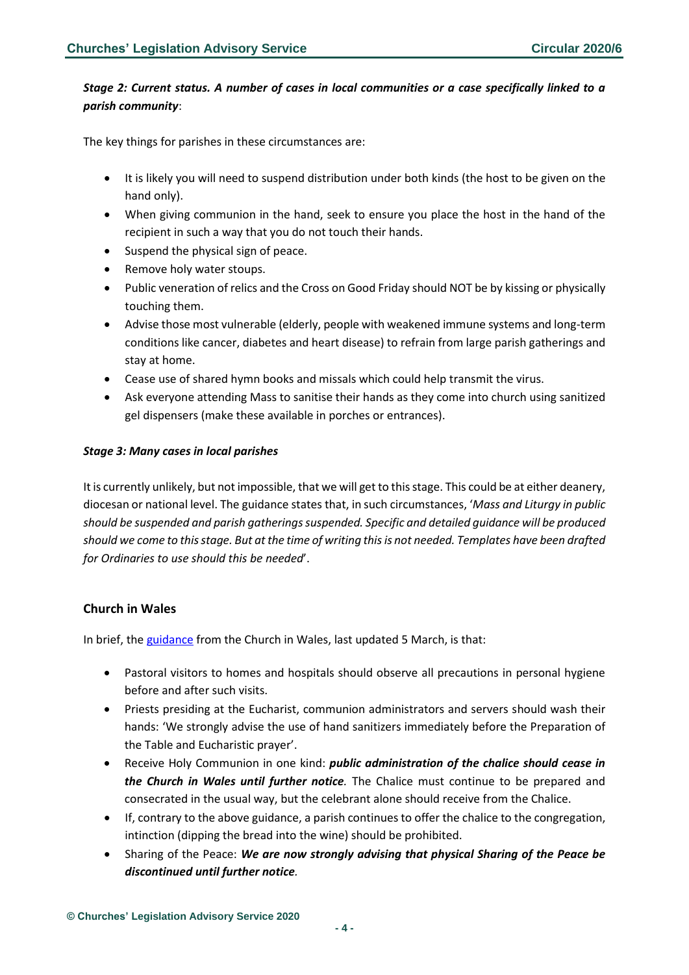# *Stage 2: Current status. A number of cases in local communities or a case specifically linked to a parish community*:

The key things for parishes in these circumstances are:

- It is likely you will need to suspend distribution under both kinds (the host to be given on the hand only).
- When giving communion in the hand, seek to ensure you place the host in the hand of the recipient in such a way that you do not touch their hands.
- Suspend the physical sign of peace.
- Remove holy water stoups.
- Public veneration of relics and the Cross on Good Friday should NOT be by kissing or physically touching them.
- Advise those most vulnerable (elderly, people with weakened immune systems and long-term conditions like cancer, diabetes and heart disease) to refrain from large parish gatherings and stay at home.
- Cease use of shared hymn books and missals which could help transmit the virus.
- Ask everyone attending Mass to sanitise their hands as they come into church using sanitized gel dispensers (make these available in porches or entrances).

#### *Stage 3: Many cases in local parishes*

It is currently unlikely, but not impossible, that we will get to this stage. This could be at either deanery, diocesan or national level. The guidance states that, in such circumstances, '*Mass and Liturgy in public should be suspended and parish gatherings suspended. Specific and detailed guidance will be produced should we come to this stage. But at the time of writing this is not needed. Templates have been drafted for Ordinaries to use should this be needed*'.

# <span id="page-3-0"></span>**Church in Wales**

In brief, th[e guidance](https://churchinwales.contentfiles.net/media/documents/Covid-19_Advice_5_March_2020.pdf) from the Church in Wales, last updated 5 March, is that:

- Pastoral visitors to homes and hospitals should observe all precautions in personal hygiene before and after such visits.
- Priests presiding at the Eucharist, communion administrators and servers should wash their hands: 'We strongly advise the use of hand sanitizers immediately before the Preparation of the Table and Eucharistic prayer'.
- Receive Holy Communion in one kind: *public administration of the chalice should cease in the Church in Wales until further notice.* The Chalice must continue to be prepared and consecrated in the usual way, but the celebrant alone should receive from the Chalice.
- If, contrary to the above guidance, a parish continues to offer the chalice to the congregation, intinction (dipping the bread into the wine) should be prohibited.
- Sharing of the Peace: *We are now strongly advising that physical Sharing of the Peace be discontinued until further notice.*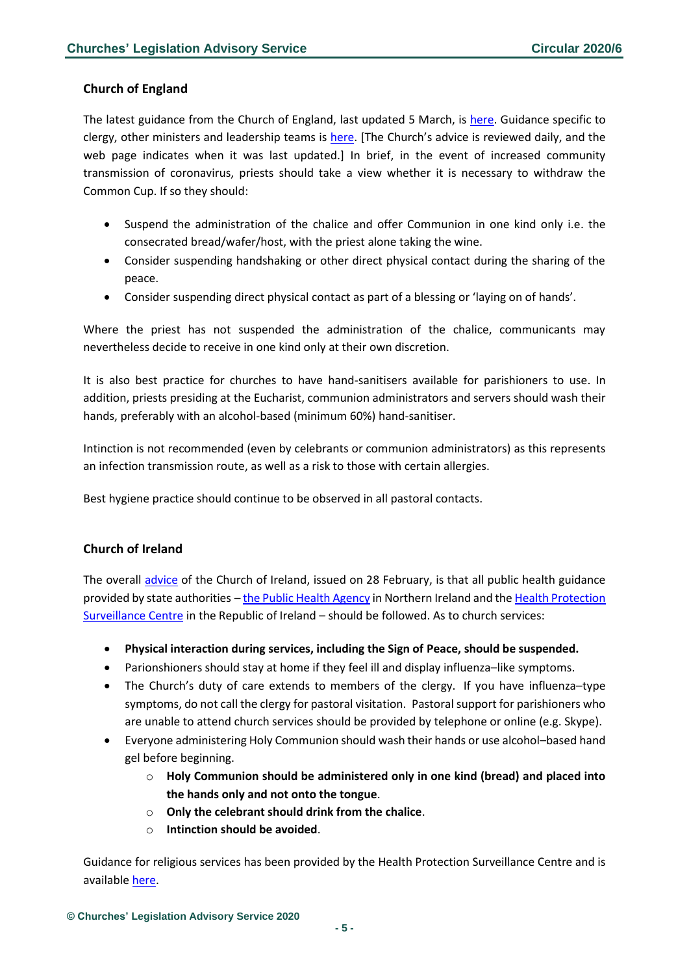# <span id="page-4-0"></span>**Church of England**

The latest guidance from the Church of England, last updated 5 March, is [here.](https://www.churchofengland.org/more/media-centre/coronavirus-covid-19-guidance-churches#na) Guidance specific to clergy, other ministers and leadership teams is [here.](https://www.churchofengland.org/more/media-centre/coronavirus-covid-19-guidance-parishes/coronavirus-covid-19-additional) [The Church's advice is reviewed daily, and the web page indicates when it was last updated.] In brief, in the event of increased community transmission of coronavirus, priests should take a view whether it is necessary to withdraw the Common Cup. If so they should:

- Suspend the administration of the chalice and offer Communion in one kind only i.e. the consecrated bread/wafer/host, with the priest alone taking the wine.
- Consider suspending handshaking or other direct physical contact during the sharing of the peace.
- Consider suspending direct physical contact as part of a blessing or 'laying on of hands'.

Where the priest has not suspended the administration of the chalice, communicants may nevertheless decide to receive in one kind only at their own discretion.

It is also best practice for churches to have hand-sanitisers available for parishioners to use. In addition, priests presiding at the Eucharist, communion administrators and servers should wash their hands, preferably with an alcohol-based (minimum 60%) hand-sanitiser.

Intinction is not recommended (even by celebrants or communion administrators) as this represents an infection transmission route, as well as a risk to those with certain allergies.

Best hygiene practice should continue to be observed in all pastoral contacts.

# <span id="page-4-1"></span>**Church of Ireland**

The overall [advice](https://www.ireland.anglican.org/news/9403/church-of-ireland-guidance-in) of the Church of Ireland, issued on 28 February, is that all public health guidance provided by state authorities – [the Public Health Agency](http://www.publichealth.hscni.net/) in Northern Ireland and the [Health Protection](http://www.hpsc.ie/)  [Surveillance Centre](http://www.hpsc.ie/) in the Republic of Ireland – should be followed. As to church services:

- **Physical interaction during services, including the Sign of Peace, should be suspended.**
- Parionshioners should stay at home if they feel ill and display influenza–like symptoms.
- The Church's duty of care extends to members of the clergy. If you have influenza–type symptoms, do not call the clergy for pastoral visitation. Pastoral support for parishioners who are unable to attend church services should be provided by telephone or online (e.g. Skype).
- Everyone administering Holy Communion should wash their hands or use alcohol–based hand gel before beginning.
	- o **Holy Communion should be administered only in one kind (bread) and placed into the hands only and not onto the tongue**.
	- o **Only the celebrant should drink from the chalice**.
	- o **Intinction should be avoided**.

Guidance for religious services has been provided by the Health Protection Surveillance Centre and is available [here.](https://www.hpsc.ie/a-z/respiratory/coronavirus/novelcoronavirus/guidance/religioussettingsguidance/)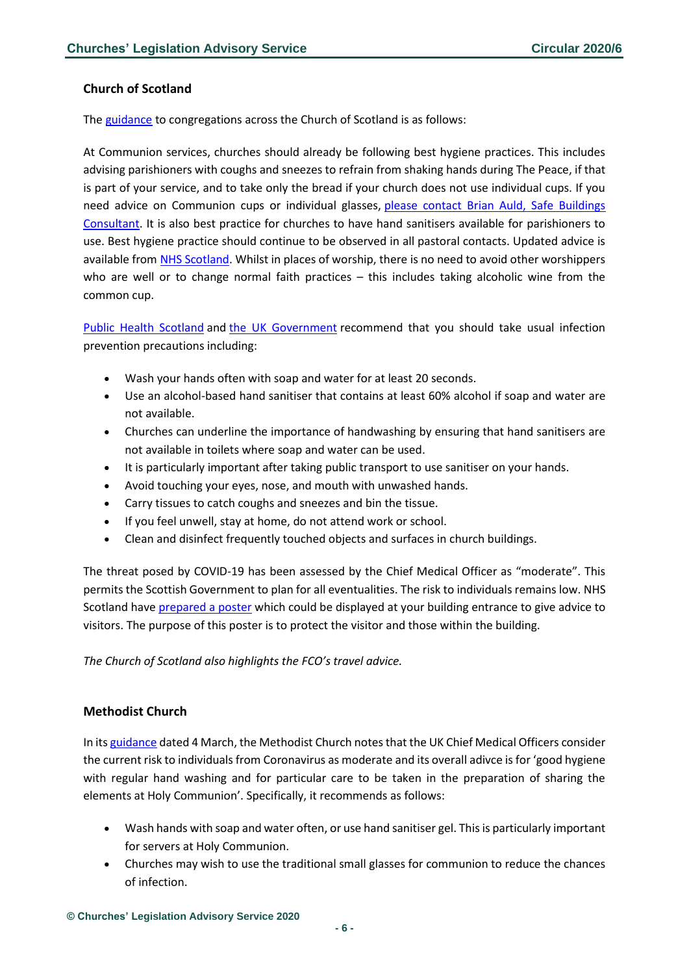#### <span id="page-5-0"></span>**Church of Scotland**

The [guidance](https://www.churchofscotland.org.uk/resources/advice-for-churches-covid-19-coronavirus) to congregations across the Church of Scotland is as follows:

At Communion services, churches should already be following best hygiene practices. This includes advising parishioners with coughs and sneezes to refrain from shaking hands during The Peace, if that is part of your service, and to take only the bread if your church does not use individual cups. If you need advice on Communion cups or individual glasses, please contact Brian Auld, Safe Buildings [Consultant.](mailto:BAuld@churchofscotland.org.uk) It is also best practice for churches to have hand sanitisers available for parishioners to use. Best hygiene practice should continue to be observed in all pastoral contacts. Updated advice is available from [NHS Scotland.](http://www.hps.scot.nhs.uk/a-to-z-of-topics/wuhan-novel-coronavirus) Whilst in places of worship, there is no need to avoid other worshippers who are well or to change normal faith practices – this includes taking alcoholic wine from the common cup.

[Public Health Scotland](https://www.hps.scot.nhs.uk/a-to-z-of-topics/covid-19) and [the UK Government](https://www.gov.uk/government/topical-events/coronavirus-covid-19-uk-government-response) recommend that you should take usual infection prevention precautions including:

- Wash your hands often with soap and water for at least 20 seconds.
- Use an alcohol-based hand sanitiser that contains at least 60% alcohol if soap and water are not available.
- Churches can underline the importance of handwashing by ensuring that hand sanitisers are not available in toilets where soap and water can be used.
- It is particularly important after taking public transport to use sanitiser on your hands.
- Avoid touching your eyes, nose, and mouth with unwashed hands.
- Carry tissues to catch coughs and sneezes and bin the tissue.
- If you feel unwell, stay at home, do not attend work or school.
- Clean and disinfect frequently touched objects and surfaces in church buildings.

The threat posed by COVID-19 has been assessed by the Chief Medical Officer as "moderate". This permits the Scottish Government to plan for all eventualities. The risk to individuals remains low. NHS Scotland have [prepared a poster](https://www.churchofscotland.org.uk/__data/assets/pdf_file/0006/64572/NHS-Scotland-Coronavirus-posters.pdf) which could be displayed at your building entrance to give advice to visitors. The purpose of this poster is to protect the visitor and those within the building.

*The Church of Scotland also highlights the FCO's travel advice.*

# <span id="page-5-1"></span>**Methodist Church**

In it[s guidance](https://www.methodist.org.uk/about-us/news/latest-news/all-news/the-methodist-church-coronavirus-guidance/) dated 4 March, the Methodist Church notes that the UK Chief Medical Officers consider the current risk to individuals from Coronavirus as moderate and its overall adivce is for 'good hygiene with regular hand washing and for particular care to be taken in the preparation of sharing the elements at Holy Communion'. Specifically, it recommends as follows:

- Wash hands with soap and water often, or use hand sanitiser gel. This is particularly important for servers at Holy Communion.
- Churches may wish to use the traditional small glasses for communion to reduce the chances of infection.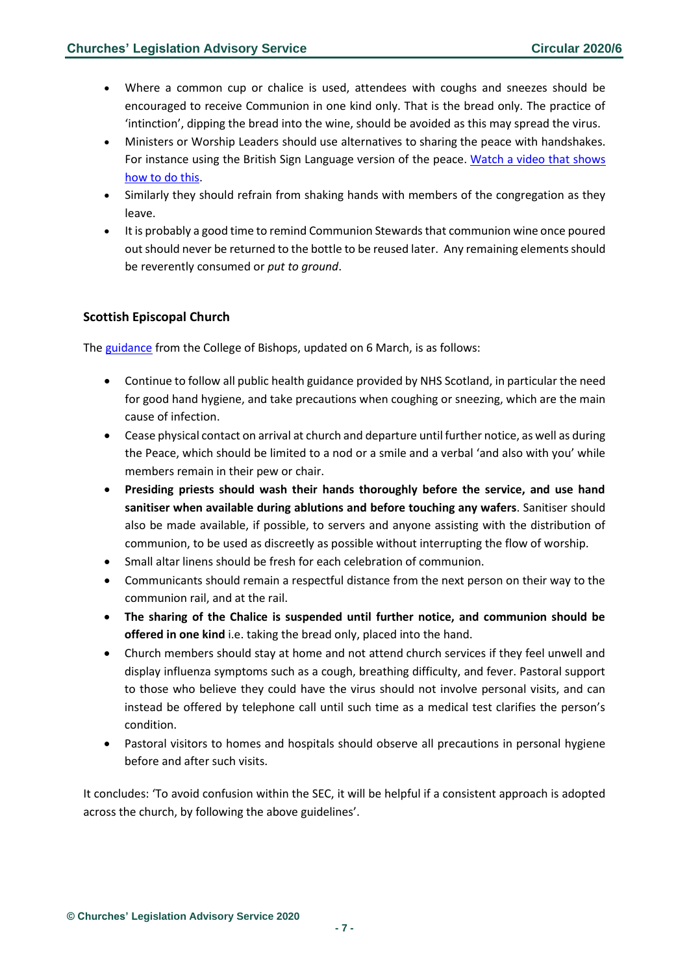- Where a common cup or chalice is used, attendees with coughs and sneezes should be encouraged to receive Communion in one kind only. That is the bread only. The practice of 'intinction', dipping the bread into the wine, should be avoided as this may spread the virus.
- Ministers or Worship Leaders should use alternatives to sharing the peace with handshakes. For instance using the British Sign Language version of the peace. [Watch a video that shows](https://www.youtube.com/watch?v=snaMc0oRUmE&fbclid=IwAR1QQnWCveRFGb0uSVaS6PdL1gIJxnq_2JYyLvQ9TXne4OfttXkO3Nm1LY4)  [how to do this.](https://www.youtube.com/watch?v=snaMc0oRUmE&fbclid=IwAR1QQnWCveRFGb0uSVaS6PdL1gIJxnq_2JYyLvQ9TXne4OfttXkO3Nm1LY4)
- Similarly they should refrain from shaking hands with members of the congregation as they leave.
- It is probably a good time to remind Communion Stewards that communion wine once poured out should never be returned to the bottle to be reused later. Any remaining elements should be reverently consumed or *put to ground*.

# <span id="page-6-0"></span>**Scottish Episcopal Church**

The [guidance](https://www.scotland.anglican.org/scottish-episcopal-church-issues-new-advice-on-covid-19-for-members-and-clergy/) from the College of Bishops, updated on 6 March, is as follows:

- Continue to follow all public health guidance provided by NHS Scotland, in particular the need for good hand hygiene, and take precautions when coughing or sneezing, which are the main cause of infection.
- Cease physical contact on arrival at church and departure until further notice, as well as during the Peace, which should be limited to a nod or a smile and a verbal 'and also with you' while members remain in their pew or chair.
- **Presiding priests should wash their hands thoroughly before the service, and use hand sanitiser when available during ablutions and before touching any wafers**. Sanitiser should also be made available, if possible, to servers and anyone assisting with the distribution of communion, to be used as discreetly as possible without interrupting the flow of worship.
- Small altar linens should be fresh for each celebration of communion.
- Communicants should remain a respectful distance from the next person on their way to the communion rail, and at the rail.
- **The sharing of the Chalice is suspended until further notice, and communion should be offered in one kind** i.e. taking the bread only, placed into the hand.
- Church members should stay at home and not attend church services if they feel unwell and display influenza symptoms such as a cough, breathing difficulty, and fever. Pastoral support to those who believe they could have the virus should not involve personal visits, and can instead be offered by telephone call until such time as a medical test clarifies the person's condition.
- Pastoral visitors to homes and hospitals should observe all precautions in personal hygiene before and after such visits.

It concludes: 'To avoid confusion within the SEC, it will be helpful if a consistent approach is adopted across the church, by following the above guidelines'.